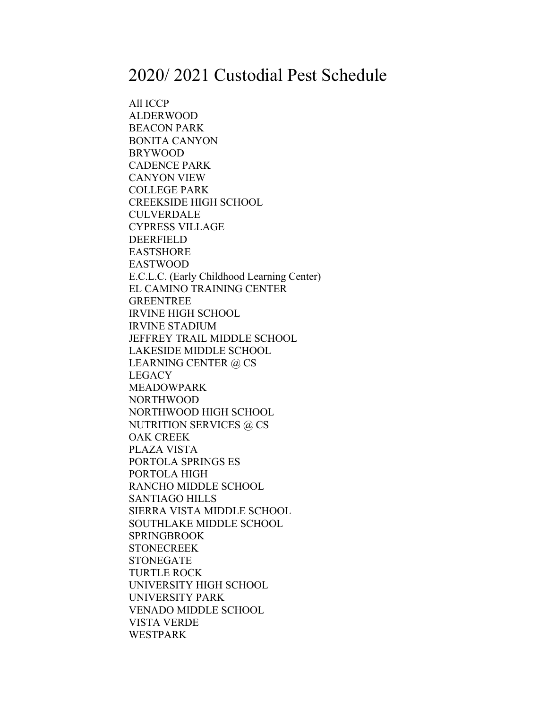## 2020/ 2021 Custodial Pest Schedule

All ICCP ALDERWOOD BEACON PARK BONITA CANYON BRYWOOD CADENCE PARK CANYON VIEW COLLEGE PARK CREEKSIDE HIGH SCHOOL CULVERDALE CYPRESS VILLAGE DEERFIELD EASTSHORE EASTWOOD E.C.L.C. (Early Childhood Learning Center) EL CAMINO TRAINING CENTER GREENTREE IRVINE HIGH SCHOOL IRVINE STADIUM JEFFREY TRAIL MIDDLE SCHOOL LAKESIDE MIDDLE SCHOOL LEARNING CENTER @ CS LEGACY MEADOWPARK NORTHWOOD NORTHWOOD HIGH SCHOOL NUTRITION SERVICES @ CS OAK CREEK PLAZA VISTA PORTOLA SPRINGS ES PORTOLA HIGH RANCHO MIDDLE SCHOOL SANTIAGO HILLS SIERRA VISTA MIDDLE SCHOOL SOUTHLAKE MIDDLE SCHOOL SPRINGBROOK **STONECREEK** STONEGATE TURTLE ROCK UNIVERSITY HIGH SCHOOL UNIVERSITY PARK VENADO MIDDLE SCHOOL VISTA VERDE WESTPARK